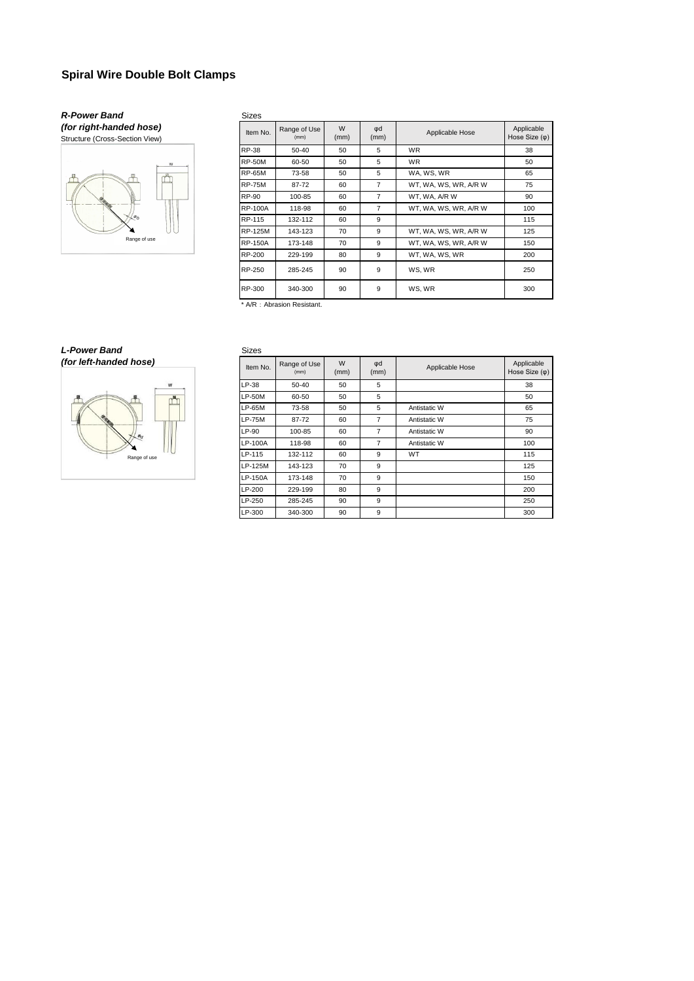# **Spiral Wire Double Bolt Clamps**

### *R-Power Band (for right-handed hose)*

Structure (Cross-Section View)



| <b>Sizes</b>   |                      |           |                |                       |                                     |
|----------------|----------------------|-----------|----------------|-----------------------|-------------------------------------|
| Item No.       | Range of Use<br>(mm) | W<br>(mm) | φd<br>(mm)     | Applicable Hose       | Applicable<br>Hose Size $(\varphi)$ |
| <b>RP-38</b>   | $50-40$              | 50        | 5              | <b>WR</b>             | 38                                  |
| <b>RP-50M</b>  | 60-50                | 50        | 5              | <b>WR</b>             | 50                                  |
| <b>RP-65M</b>  | 73-58                | 50        | 5              | WA, WS, WR            | 65                                  |
| <b>RP-75M</b>  | 87-72                | 60        | $\overline{7}$ | WT, WA, WS, WR, A/R W | 75                                  |
| RP-90          | 100-85               | 60        | $\overline{7}$ | WT, WA, A/R W         | 90                                  |
| <b>RP-100A</b> | 118-98               | 60        | $\overline{7}$ | WT, WA, WS, WR, A/R W | 100                                 |
| RP-115         | 132-112              | 60        | 9              |                       | 115                                 |
| <b>RP-125M</b> | 143-123              | 70        | 9              | WT, WA, WS, WR, A/R W | 125                                 |
| <b>RP-150A</b> | 173-148              | 70        | 9              | WT, WA, WS, WR, A/R W | 150                                 |
| RP-200         | 229-199              | 80        | 9              | WT. WA. WS. WR        | 200                                 |
| RP-250         | 285-245              | 90        | 9              | WS, WR                | 250                                 |
| RP-300         | 340-300              | 90        | 9              | WS, WR                | 300                                 |

\* A/R : Abrasion Resistant.

## *L-Power Band*



| Sizes          |                      |           |                |                 |                                     |
|----------------|----------------------|-----------|----------------|-----------------|-------------------------------------|
| Item No.       | Range of Use<br>(mm) | W<br>(mm) | φd<br>(mm)     | Applicable Hose | Applicable<br>Hose Size $(\varphi)$ |
| LP-38          | 50-40                | 50        | 5              |                 | 38                                  |
| <b>LP-50M</b>  | 60-50                | 50        | 5              |                 | 50                                  |
| <b>LP-65M</b>  | 73-58                | 50        | 5              | Antistatic W    | 65                                  |
| <b>LP-75M</b>  | 87-72                | 60        | $\overline{7}$ | Antistatic W    | 75                                  |
| $LP-90$        | 100-85               | 60        | $\overline{7}$ | Antistatic W    | 90                                  |
| <b>LP-100A</b> | 118-98               | 60        | $\overline{7}$ | Antistatic W    | 100                                 |
| LP-115         | 132-112              | 60        | 9              | WT              | 115                                 |
| LP-125M        | 143-123              | 70        | 9              |                 | 125                                 |
| LP-150A        | 173-148              | 70        | 9              |                 | 150                                 |
| LP-200         | 229-199              | 80        | 9              |                 | 200                                 |
| LP-250         | 285-245              | 90        | 9              |                 | 250                                 |
| LP-300         | 340-300              | 90        | 9              |                 | 300                                 |